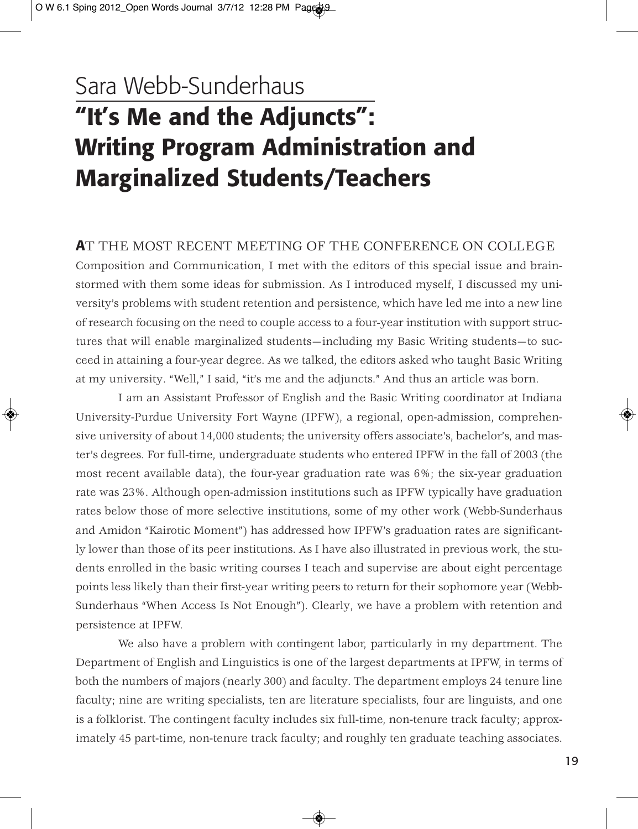## Sara Webb-Sunderhaus **"It's Me and the Adjuncts": Writing Program Administration and Marginalized Students/Teachers**

#### **A**T THE MOST RECENT MEETING OF THE CONFERENCE ON COLLEGE

Composition and Communication, I met with the editors of this special issue and brainstormed with them some ideas for submission. As I introduced myself, I discussed my university's problems with student retention and persistence, which have led me into a new line of research focusing on the need to couple access to a four-year institution with support structures that will enable marginalized students—including my Basic Writing students—to succeed in attaining a four-year degree. As we talked, the editors asked who taught Basic Writing at my university. "Well," I said, "it's me and the adjuncts." And thus an article was born.

I am an Assistant Professor of English and the Basic Writing coordinator at Indiana University-Purdue University Fort Wayne (IPFW), a regional, open-admission, comprehensive university of about 14,000 students; the university offers associate's, bachelor's, and master's degrees. For full-time, undergraduate students who entered IPFW in the fall of 2003 (the most recent available data), the four-year graduation rate was 6%; the six-year graduation rate was 23%. Although open-admission institutions such as IPFW typically have graduation rates below those of more selective institutions, some of my other work (Webb-Sunderhaus and Amidon "Kairotic Moment") has addressed how IPFW's graduation rates are significantly lower than those of its peer institutions. As I have also illustrated in previous work, the students enrolled in the basic writing courses I teach and supervise are about eight percentage points less likely than their first-year writing peers to return for their sophomore year (Webb-Sunderhaus "When Access Is Not Enough"). Clearly, we have a problem with retention and persistence at IPFW.

We also have a problem with contingent labor, particularly in my department. The Department of English and Linguistics is one of the largest departments at IPFW, in terms of both the numbers of majors (nearly 300) and faculty. The department employs 24 tenure line faculty; nine are writing specialists, ten are literature specialists, four are linguists, and one is a folklorist. The contingent faculty includes six full-time, non-tenure track faculty; approximately 45 part-time, non-tenure track faculty; and roughly ten graduate teaching associates.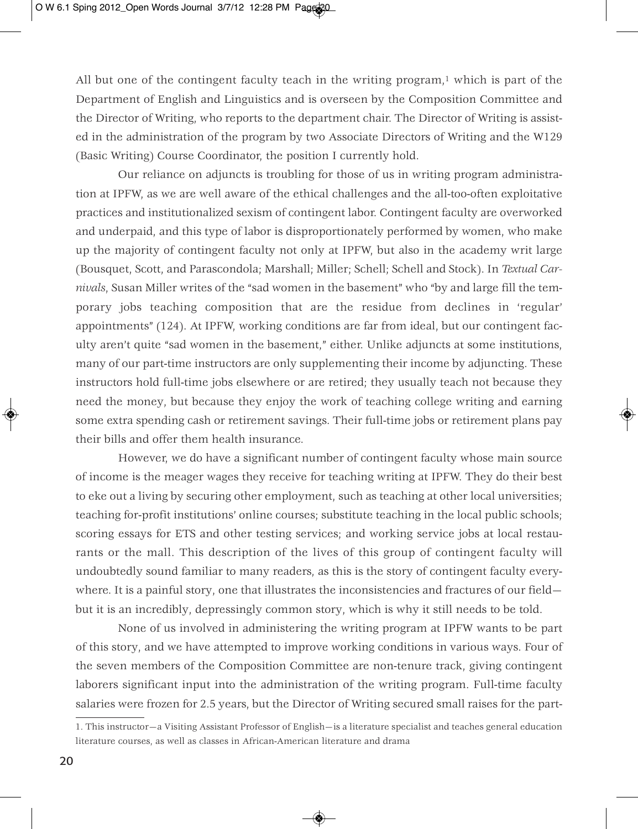All but one of the contingent faculty teach in the writing program, $1$  which is part of the Department of English and Linguistics and is overseen by the Composition Committee and the Director of Writing, who reports to the department chair. The Director of Writing is assisted in the administration of the program by two Associate Directors of Writing and the W129 (Basic Writing) Course Coordinator, the position I currently hold.

Our reliance on adjuncts is troubling for those of us in writing program administration at IPFW, as we are well aware of the ethical challenges and the all-too-often exploitative practices and institutionalized sexism of contingent labor. Contingent faculty are overworked and underpaid, and this type of labor is disproportionately performed by women, who make up the majority of contingent faculty not only at IPFW, but also in the academy writ large (Bousquet, Scott, and Parascondola; Marshall; Miller; Schell; Schell and Stock). In *Textual Carnivals*, Susan Miller writes of the "sad women in the basement" who "by and large fill the temporary jobs teaching composition that are the residue from declines in 'regular' appointments" (124). At IPFW, working conditions are far from ideal, but our contingent faculty aren't quite "sad women in the basement," either. Unlike adjuncts at some institutions, many of our part-time instructors are only supplementing their income by adjuncting. These instructors hold full-time jobs elsewhere or are retired; they usually teach not because they need the money, but because they enjoy the work of teaching college writing and earning some extra spending cash or retirement savings. Their full-time jobs or retirement plans pay their bills and offer them health insurance.

However, we do have a significant number of contingent faculty whose main source of income is the meager wages they receive for teaching writing at IPFW. They do their best to eke out a living by securing other employment, such as teaching at other local universities; teaching for-profit institutions' online courses; substitute teaching in the local public schools; scoring essays for ETS and other testing services; and working service jobs at local restaurants or the mall. This description of the lives of this group of contingent faculty will undoubtedly sound familiar to many readers, as this is the story of contingent faculty everywhere. It is a painful story, one that illustrates the inconsistencies and fractures of our field but it is an incredibly, depressingly common story, which is why it still needs to be told.

None of us involved in administering the writing program at IPFW wants to be part of this story, and we have attempted to improve working conditions in various ways. Four of the seven members of the Composition Committee are non-tenure track, giving contingent laborers significant input into the administration of the writing program. Full-time faculty salaries were frozen for 2.5 years, but the Director of Writing secured small raises for the part-

<sup>1.</sup> This instructor—a Visiting Assistant Professor of English—is a literature specialist and teaches general education literature courses, as well as classes in African-American literature and drama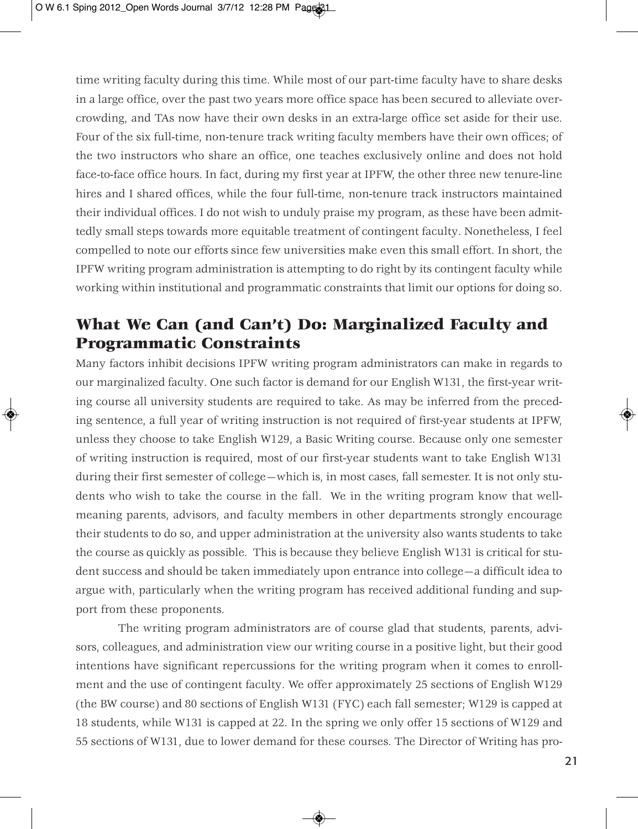time writing faculty during this time. While most of our part-time faculty have to share desks in a large office, over the past two years more office space has been secured to alleviate overcrowding, and TAs now have their own desks in an extra-large office set aside for their use. Four of the six full-time, non-tenure track writing faculty members have their own offices; of the two instructors who share an office, one teaches exclusively online and does not hold face-to-face office hours. In fact, during my first year at IPFW, the other three new tenure-line hires and I shared offices, while the four full-time, non-tenure track instructors maintained their individual offices. I do not wish to unduly praise my program, as these have been admittedly small steps towards more equitable treatment of contingent faculty. Nonetheless, I feel compelled to note our efforts since few universities make even this small effort. In short, the IPFW writing program administration is attempting to do right by its contingent faculty while working within institutional and programmatic constraints that limit our options for doing so.

### **What We Can (and Can't) Do: Marginalized Faculty and Programmatic Constraints**

Many factors inhibit decisions IPFW writing program administrators can make in regards to our marginalized faculty. One such factor is demand for our English W131, the first-year writing course all university students are required to take. As may be inferred from the preceding sentence, a full year of writing instruction is not required of first-year students at IPFW, unless they choose to take English W129, a Basic Writing course. Because only one semester of writing instruction is required, most of our first-year students want to take English W131 during their first semester of college—which is, in most cases, fall semester. It is not only students who wish to take the course in the fall. We in the writing program know that wellmeaning parents, advisors, and faculty members in other departments strongly encourage their students to do so, and upper administration at the university also wants students to take the course as quickly as possible. This is because they believe English W131 is critical for student success and should be taken immediately upon entrance into college—a difficult idea to argue with, particularly when the writing program has received additional funding and support from these proponents.

The writing program administrators are of course glad that students, parents, advisors, colleagues, and administration view our writing course in a positive light, but their good intentions have significant repercussions for the writing program when it comes to enrollment and the use of contingent faculty. We offer approximately 25 sections of English W129 (the BW course) and 80 sections of English W131 (FYC) each fall semester; W129 is capped at 18 students, while W131 is capped at 22. In the spring we only offer 15 sections of W129 and 55 sections of W131, due to lower demand for these courses. The Director of Writing has pro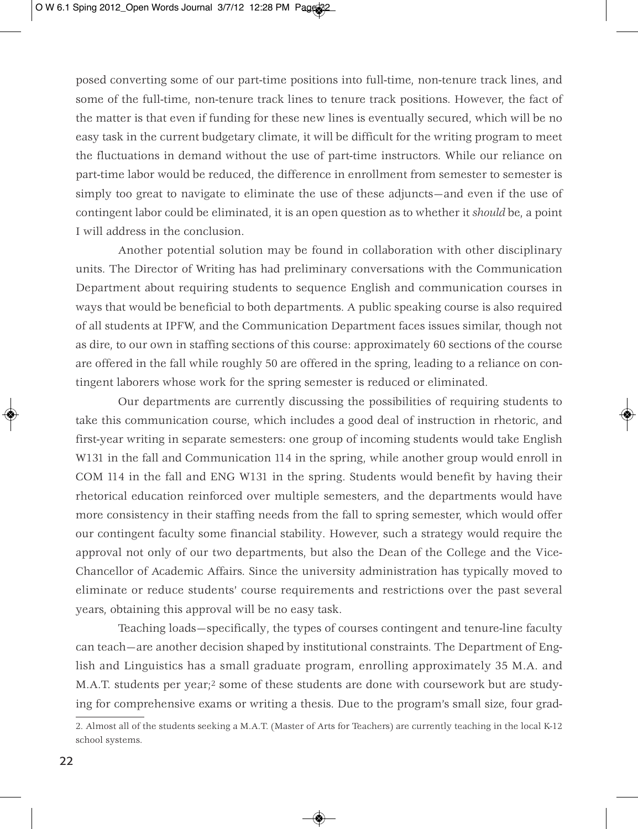posed converting some of our part-time positions into full-time, non-tenure track lines, and some of the full-time, non-tenure track lines to tenure track positions. However, the fact of the matter is that even if funding for these new lines is eventually secured, which will be no easy task in the current budgetary climate, it will be difficult for the writing program to meet the fluctuations in demand without the use of part-time instructors. While our reliance on part-time labor would be reduced, the difference in enrollment from semester to semester is simply too great to navigate to eliminate the use of these adjuncts—and even if the use of contingent labor could be eliminated, it is an open question as to whether it *should* be, a point I will address in the conclusion.

Another potential solution may be found in collaboration with other disciplinary units. The Director of Writing has had preliminary conversations with the Communication Department about requiring students to sequence English and communication courses in ways that would be beneficial to both departments. A public speaking course is also required of all students at IPFW, and the Communication Department faces issues similar, though not as dire, to our own in staffing sections of this course: approximately 60 sections of the course are offered in the fall while roughly 50 are offered in the spring, leading to a reliance on contingent laborers whose work for the spring semester is reduced or eliminated.

Our departments are currently discussing the possibilities of requiring students to take this communication course, which includes a good deal of instruction in rhetoric, and first-year writing in separate semesters: one group of incoming students would take English W131 in the fall and Communication 114 in the spring, while another group would enroll in COM 114 in the fall and ENG W131 in the spring. Students would benefit by having their rhetorical education reinforced over multiple semesters, and the departments would have more consistency in their staffing needs from the fall to spring semester, which would offer our contingent faculty some financial stability. However, such a strategy would require the approval not only of our two departments, but also the Dean of the College and the Vice-Chancellor of Academic Affairs. Since the university administration has typically moved to eliminate or reduce students' course requirements and restrictions over the past several years, obtaining this approval will be no easy task.

Teaching loads—specifically, the types of courses contingent and tenure-line faculty can teach—are another decision shaped by institutional constraints. The Department of English and Linguistics has a small graduate program, enrolling approximately 35 M.A. and M.A.T. students per year;2 some of these students are done with coursework but are studying for comprehensive exams or writing a thesis. Due to the program's small size, four grad-

<sup>2.</sup> Almost all of the students seeking a M.A.T. (Master of Arts for Teachers) are currently teaching in the local K-12 school systems.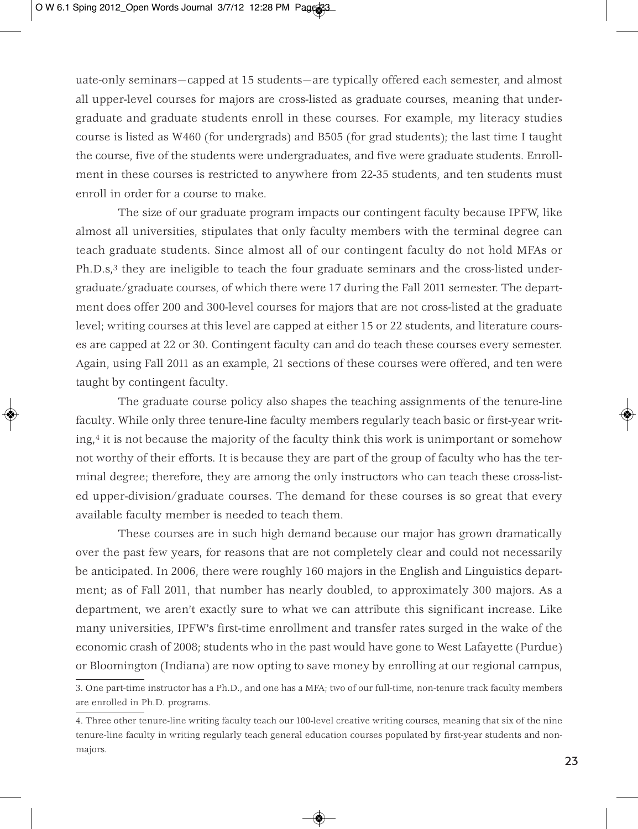uate-only seminars—capped at 15 students—are typically offered each semester, and almost all upper-level courses for majors are cross-listed as graduate courses, meaning that undergraduate and graduate students enroll in these courses. For example, my literacy studies course is listed as W460 (for undergrads) and B505 (for grad students); the last time I taught the course, five of the students were undergraduates, and five were graduate students. Enrollment in these courses is restricted to anywhere from 22-35 students, and ten students must enroll in order for a course to make.

The size of our graduate program impacts our contingent faculty because IPFW, like almost all universities, stipulates that only faculty members with the terminal degree can teach graduate students. Since almost all of our contingent faculty do not hold MFAs or Ph.D.s,<sup>3</sup> they are ineligible to teach the four graduate seminars and the cross-listed undergraduate/graduate courses, of which there were 17 during the Fall 2011 semester. The department does offer 200 and 300-level courses for majors that are not cross-listed at the graduate level; writing courses at this level are capped at either 15 or 22 students, and literature courses are capped at 22 or 30. Contingent faculty can and do teach these courses every semester. Again, using Fall 2011 as an example, 21 sections of these courses were offered, and ten were taught by contingent faculty.

The graduate course policy also shapes the teaching assignments of the tenure-line faculty. While only three tenure-line faculty members regularly teach basic or first-year writing,4 it is not because the majority of the faculty think this work is unimportant or somehow not worthy of their efforts. It is because they are part of the group of faculty who has the terminal degree; therefore, they are among the only instructors who can teach these cross-listed upper-division/graduate courses. The demand for these courses is so great that every available faculty member is needed to teach them.

These courses are in such high demand because our major has grown dramatically over the past few years, for reasons that are not completely clear and could not necessarily be anticipated. In 2006, there were roughly 160 majors in the English and Linguistics department; as of Fall 2011, that number has nearly doubled, to approximately 300 majors. As a department, we aren't exactly sure to what we can attribute this significant increase. Like many universities, IPFW's first-time enrollment and transfer rates surged in the wake of the economic crash of 2008; students who in the past would have gone to West Lafayette (Purdue) or Bloomington (Indiana) are now opting to save money by enrolling at our regional campus,

<sup>3.</sup> One part-time instructor has a Ph.D., and one has a MFA; two of our full-time, non-tenure track faculty members are enrolled in Ph.D. programs.

<sup>4.</sup> Three other tenure-line writing faculty teach our 100-level creative writing courses, meaning that six of the nine tenure-line faculty in writing regularly teach general education courses populated by first-year students and nonmajors.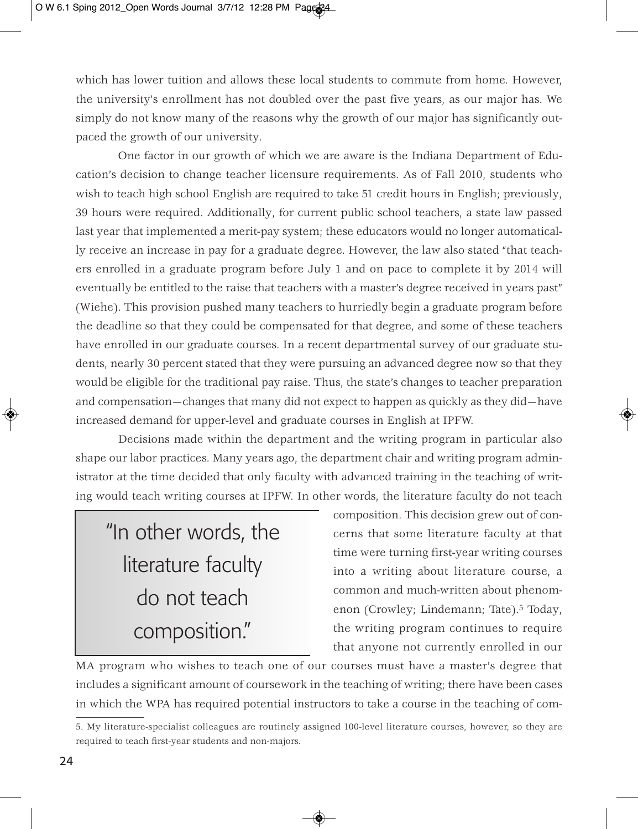which has lower tuition and allows these local students to commute from home. However, the university's enrollment has not doubled over the past five years, as our major has. We simply do not know many of the reasons why the growth of our major has significantly outpaced the growth of our university.

One factor in our growth of which we are aware is the Indiana Department of Education's decision to change teacher licensure requirements. As of Fall 2010, students who wish to teach high school English are required to take 51 credit hours in English; previously, 39 hours were required. Additionally, for current public school teachers, a state law passed last year that implemented a merit-pay system; these educators would no longer automatically receive an increase in pay for a graduate degree. However, the law also stated "that teachers enrolled in a graduate program before July 1 and on pace to complete it by 2014 will eventually be entitled to the raise that teachers with a master's degree received in years past" (Wiehe). This provision pushed many teachers to hurriedly begin a graduate program before the deadline so that they could be compensated for that degree, and some of these teachers have enrolled in our graduate courses. In a recent departmental survey of our graduate students, nearly 30 percent stated that they were pursuing an advanced degree now so that they would be eligible for the traditional pay raise. Thus, the state's changes to teacher preparation and compensation—changes that many did not expect to happen as quickly as they did—have increased demand for upper-level and graduate courses in English at IPFW.

Decisions made within the department and the writing program in particular also shape our labor practices. Many years ago, the department chair and writing program administrator at the time decided that only faculty with advanced training in the teaching of writing would teach writing courses at IPFW. In other words, the literature faculty do not teach

# "In other words, the literature faculty do not teach composition."

composition. This decision grew out of concerns that some literature faculty at that time were turning first-year writing courses into a writing about literature course, a common and much-written about phenomenon (Crowley; Lindemann; Tate).5 Today, the writing program continues to require that anyone not currently enrolled in our

MA program who wishes to teach one of our courses must have a master's degree that includes a significant amount of coursework in the teaching of writing; there have been cases in which the WPA has required potential instructors to take a course in the teaching of com-

<sup>5.</sup> My literature-specialist colleagues are routinely assigned 100-level literature courses, however, so they are required to teach first-year students and non-majors.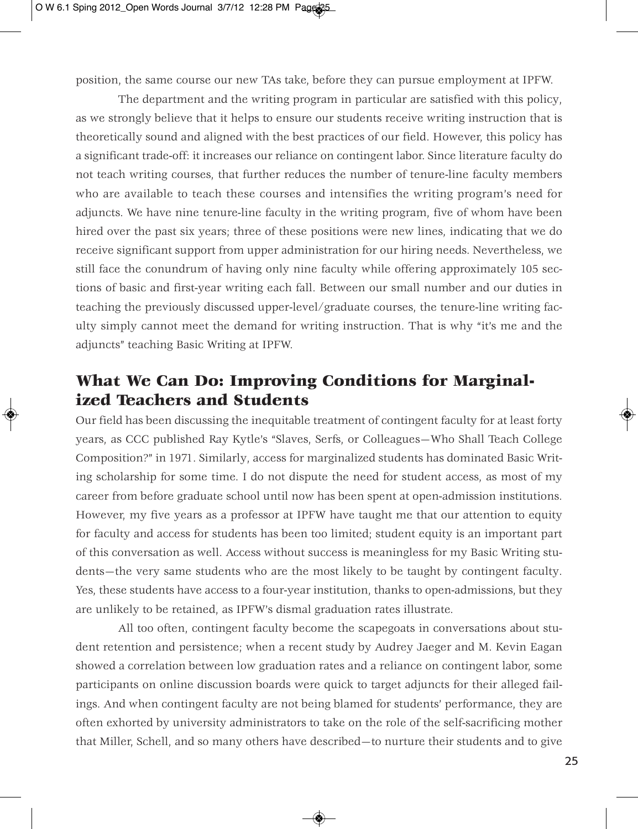position, the same course our new TAs take, before they can pursue employment at IPFW.

The department and the writing program in particular are satisfied with this policy, as we strongly believe that it helps to ensure our students receive writing instruction that is theoretically sound and aligned with the best practices of our field. However, this policy has a significant trade-off: it increases our reliance on contingent labor. Since literature faculty do not teach writing courses, that further reduces the number of tenure-line faculty members who are available to teach these courses and intensifies the writing program's need for adjuncts. We have nine tenure-line faculty in the writing program, five of whom have been hired over the past six years; three of these positions were new lines, indicating that we do receive significant support from upper administration for our hiring needs. Nevertheless, we still face the conundrum of having only nine faculty while offering approximately 105 sections of basic and first-year writing each fall. Between our small number and our duties in teaching the previously discussed upper-level/graduate courses, the tenure-line writing faculty simply cannot meet the demand for writing instruction. That is why "it's me and the adjuncts" teaching Basic Writing at IPFW.

### **What We Can Do: Improving Conditions for Marginalized Teachers and Students**

Our field has been discussing the inequitable treatment of contingent faculty for at least forty years, as CCC published Ray Kytle's "Slaves, Serfs, or Colleagues—Who Shall Teach College Composition?" in 1971. Similarly, access for marginalized students has dominated Basic Writing scholarship for some time. I do not dispute the need for student access, as most of my career from before graduate school until now has been spent at open-admission institutions. However, my five years as a professor at IPFW have taught me that our attention to equity for faculty and access for students has been too limited; student equity is an important part of this conversation as well. Access without success is meaningless for my Basic Writing students—the very same students who are the most likely to be taught by contingent faculty. Yes, these students have access to a four-year institution, thanks to open-admissions, but they are unlikely to be retained, as IPFW's dismal graduation rates illustrate.

All too often, contingent faculty become the scapegoats in conversations about student retention and persistence; when a recent study by Audrey Jaeger and M. Kevin Eagan showed a correlation between low graduation rates and a reliance on contingent labor, some participants on online discussion boards were quick to target adjuncts for their alleged failings. And when contingent faculty are not being blamed for students' performance, they are often exhorted by university administrators to take on the role of the self-sacrificing mother that Miller, Schell, and so many others have described—to nurture their students and to give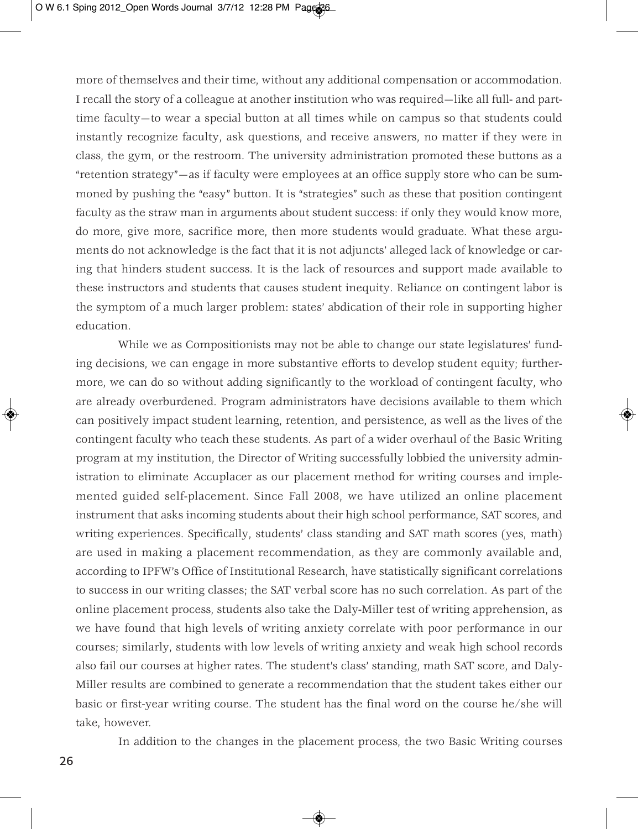more of themselves and their time, without any additional compensation or accommodation. I recall the story of a colleague at another institution who was required—like all full- and parttime faculty—to wear a special button at all times while on campus so that students could instantly recognize faculty, ask questions, and receive answers, no matter if they were in class, the gym, or the restroom. The university administration promoted these buttons as a "retention strategy"—as if faculty were employees at an office supply store who can be summoned by pushing the "easy" button. It is "strategies" such as these that position contingent faculty as the straw man in arguments about student success: if only they would know more, do more, give more, sacrifice more, then more students would graduate. What these arguments do not acknowledge is the fact that it is not adjuncts' alleged lack of knowledge or caring that hinders student success. It is the lack of resources and support made available to these instructors and students that causes student inequity. Reliance on contingent labor is the symptom of a much larger problem: states' abdication of their role in supporting higher education.

While we as Compositionists may not be able to change our state legislatures' funding decisions, we can engage in more substantive efforts to develop student equity; furthermore, we can do so without adding significantly to the workload of contingent faculty, who are already overburdened. Program administrators have decisions available to them which can positively impact student learning, retention, and persistence, as well as the lives of the contingent faculty who teach these students. As part of a wider overhaul of the Basic Writing program at my institution, the Director of Writing successfully lobbied the university administration to eliminate Accuplacer as our placement method for writing courses and implemented guided self-placement. Since Fall 2008, we have utilized an online placement instrument that asks incoming students about their high school performance, SAT scores, and writing experiences. Specifically, students' class standing and SAT math scores (yes, math) are used in making a placement recommendation, as they are commonly available and, according to IPFW's Office of Institutional Research, have statistically significant correlations to success in our writing classes; the SAT verbal score has no such correlation. As part of the online placement process, students also take the Daly-Miller test of writing apprehension, as we have found that high levels of writing anxiety correlate with poor performance in our courses; similarly, students with low levels of writing anxiety and weak high school records also fail our courses at higher rates. The student's class' standing, math SAT score, and Daly-Miller results are combined to generate a recommendation that the student takes either our basic or first-year writing course. The student has the final word on the course he/she will take, however.

In addition to the changes in the placement process, the two Basic Writing courses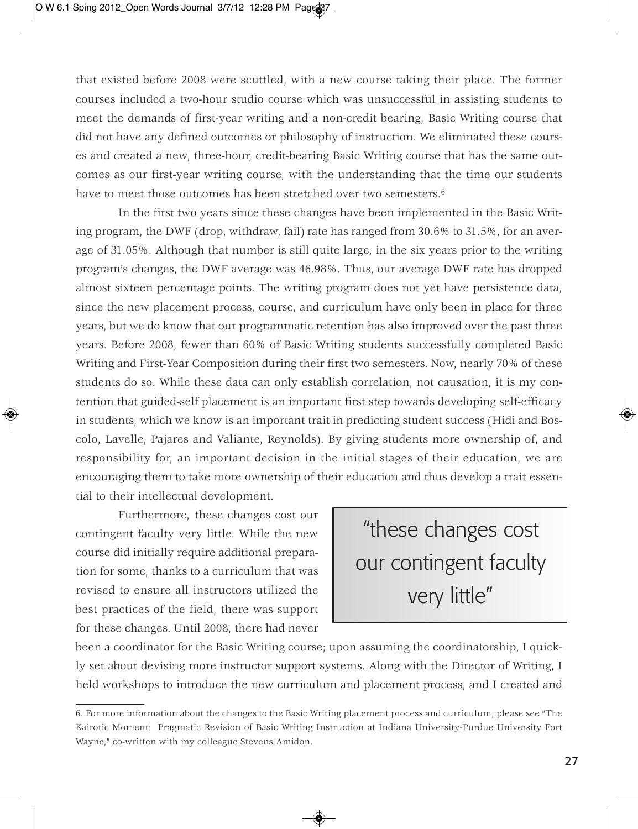that existed before 2008 were scuttled, with a new course taking their place. The former courses included a two-hour studio course which was unsuccessful in assisting students to meet the demands of first-year writing and a non-credit bearing, Basic Writing course that did not have any defined outcomes or philosophy of instruction. We eliminated these courses and created a new, three-hour, credit-bearing Basic Writing course that has the same outcomes as our first-year writing course, with the understanding that the time our students have to meet those outcomes has been stretched over two semesters.<sup>6</sup>

In the first two years since these changes have been implemented in the Basic Writing program, the DWF (drop, withdraw, fail) rate has ranged from 30.6% to 31.5%, for an average of 31.05%. Although that number is still quite large, in the six years prior to the writing program's changes, the DWF average was 46.98%. Thus, our average DWF rate has dropped almost sixteen percentage points. The writing program does not yet have persistence data, since the new placement process, course, and curriculum have only been in place for three years, but we do know that our programmatic retention has also improved over the past three years. Before 2008, fewer than 60% of Basic Writing students successfully completed Basic Writing and First-Year Composition during their first two semesters. Now, nearly 70% of these students do so. While these data can only establish correlation, not causation, it is my contention that guided-self placement is an important first step towards developing self-efficacy in students, which we know is an important trait in predicting student success (Hidi and Boscolo, Lavelle, Pajares and Valiante, Reynolds). By giving students more ownership of, and responsibility for, an important decision in the initial stages of their education, we are encouraging them to take more ownership of their education and thus develop a trait essential to their intellectual development.

Furthermore, these changes cost our contingent faculty very little. While the new course did initially require additional preparation for some, thanks to a curriculum that was revised to ensure all instructors utilized the best practices of the field, there was support for these changes. Until 2008, there had never

"these changes cost our contingent faculty very little"

been a coordinator for the Basic Writing course; upon assuming the coordinatorship, I quickly set about devising more instructor support systems. Along with the Director of Writing, I held workshops to introduce the new curriculum and placement process, and I created and

<sup>6.</sup> For more information about the changes to the Basic Writing placement process and curriculum, please see "The Kairotic Moment: Pragmatic Revision of Basic Writing Instruction at Indiana University-Purdue University Fort Wayne," co-written with my colleague Stevens Amidon.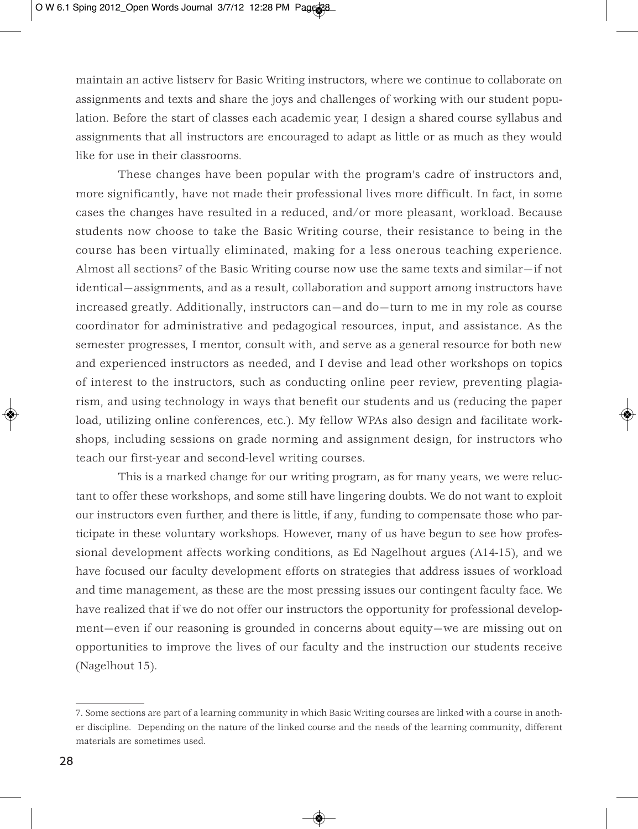maintain an active listserv for Basic Writing instructors, where we continue to collaborate on assignments and texts and share the joys and challenges of working with our student population. Before the start of classes each academic year, I design a shared course syllabus and assignments that all instructors are encouraged to adapt as little or as much as they would like for use in their classrooms.

These changes have been popular with the program's cadre of instructors and, more significantly, have not made their professional lives more difficult. In fact, in some cases the changes have resulted in a reduced, and/or more pleasant, workload. Because students now choose to take the Basic Writing course, their resistance to being in the course has been virtually eliminated, making for a less onerous teaching experience. Almost all sections7 of the Basic Writing course now use the same texts and similar—if not identical—assignments, and as a result, collaboration and support among instructors have increased greatly. Additionally, instructors can—and do—turn to me in my role as course coordinator for administrative and pedagogical resources, input, and assistance. As the semester progresses, I mentor, consult with, and serve as a general resource for both new and experienced instructors as needed, and I devise and lead other workshops on topics of interest to the instructors, such as conducting online peer review, preventing plagiarism, and using technology in ways that benefit our students and us (reducing the paper load, utilizing online conferences, etc.). My fellow WPAs also design and facilitate workshops, including sessions on grade norming and assignment design, for instructors who teach our first-year and second-level writing courses.

This is a marked change for our writing program, as for many years, we were reluctant to offer these workshops, and some still have lingering doubts. We do not want to exploit our instructors even further, and there is little, if any, funding to compensate those who participate in these voluntary workshops. However, many of us have begun to see how professional development affects working conditions, as Ed Nagelhout argues (A14-15), and we have focused our faculty development efforts on strategies that address issues of workload and time management, as these are the most pressing issues our contingent faculty face. We have realized that if we do not offer our instructors the opportunity for professional development—even if our reasoning is grounded in concerns about equity—we are missing out on opportunities to improve the lives of our faculty and the instruction our students receive (Nagelhout 15).

<sup>7.</sup> Some sections are part of a learning community in which Basic Writing courses are linked with a course in another discipline. Depending on the nature of the linked course and the needs of the learning community, different materials are sometimes used.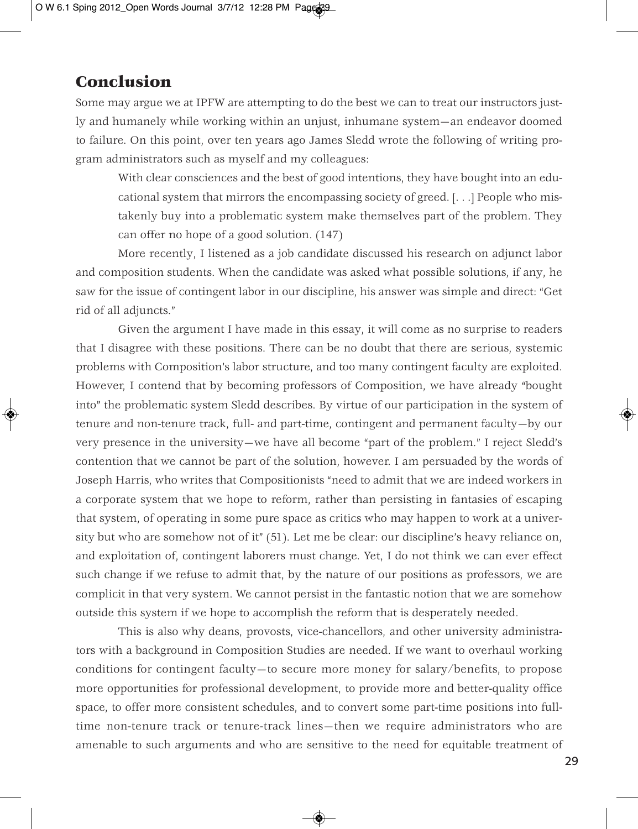### **Conclusion**

Some may argue we at IPFW are attempting to do the best we can to treat our instructors justly and humanely while working within an unjust, inhumane system—an endeavor doomed to failure. On this point, over ten years ago James Sledd wrote the following of writing program administrators such as myself and my colleagues:

With clear consciences and the best of good intentions, they have bought into an educational system that mirrors the encompassing society of greed. [. . .] People who mistakenly buy into a problematic system make themselves part of the problem. They can offer no hope of a good solution. (147)

More recently, I listened as a job candidate discussed his research on adjunct labor and composition students. When the candidate was asked what possible solutions, if any, he saw for the issue of contingent labor in our discipline, his answer was simple and direct: "Get rid of all adjuncts."

Given the argument I have made in this essay, it will come as no surprise to readers that I disagree with these positions. There can be no doubt that there are serious, systemic problems with Composition's labor structure, and too many contingent faculty are exploited. However, I contend that by becoming professors of Composition, we have already "bought into" the problematic system Sledd describes. By virtue of our participation in the system of tenure and non-tenure track, full- and part-time, contingent and permanent faculty—by our very presence in the university—we have all become "part of the problem." I reject Sledd's contention that we cannot be part of the solution, however. I am persuaded by the words of Joseph Harris, who writes that Compositionists "need to admit that we are indeed workers in a corporate system that we hope to reform, rather than persisting in fantasies of escaping that system, of operating in some pure space as critics who may happen to work at a university but who are somehow not of it" (51). Let me be clear: our discipline's heavy reliance on, and exploitation of, contingent laborers must change. Yet, I do not think we can ever effect such change if we refuse to admit that, by the nature of our positions as professors, we are complicit in that very system. We cannot persist in the fantastic notion that we are somehow outside this system if we hope to accomplish the reform that is desperately needed.

This is also why deans, provosts, vice-chancellors, and other university administrators with a background in Composition Studies are needed. If we want to overhaul working conditions for contingent faculty—to secure more money for salary/benefits, to propose more opportunities for professional development, to provide more and better-quality office space, to offer more consistent schedules, and to convert some part-time positions into fulltime non-tenure track or tenure-track lines—then we require administrators who are amenable to such arguments and who are sensitive to the need for equitable treatment of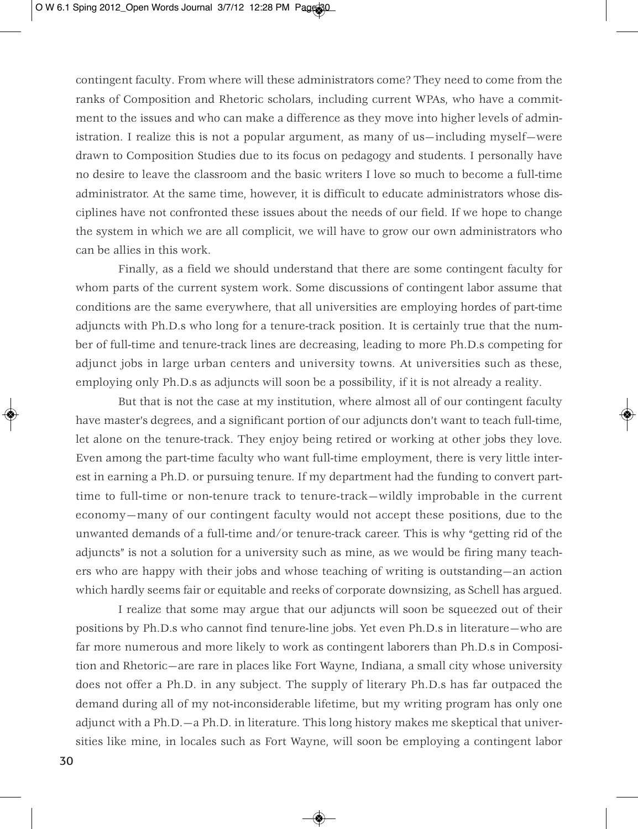contingent faculty. From where will these administrators come? They need to come from the ranks of Composition and Rhetoric scholars, including current WPAs, who have a commitment to the issues and who can make a difference as they move into higher levels of administration. I realize this is not a popular argument, as many of us—including myself—were drawn to Composition Studies due to its focus on pedagogy and students. I personally have no desire to leave the classroom and the basic writers I love so much to become a full-time administrator. At the same time, however, it is difficult to educate administrators whose disciplines have not confronted these issues about the needs of our field. If we hope to change the system in which we are all complicit, we will have to grow our own administrators who can be allies in this work.

Finally, as a field we should understand that there are some contingent faculty for whom parts of the current system work. Some discussions of contingent labor assume that conditions are the same everywhere, that all universities are employing hordes of part-time adjuncts with Ph.D.s who long for a tenure-track position. It is certainly true that the number of full-time and tenure-track lines are decreasing, leading to more Ph.D.s competing for adjunct jobs in large urban centers and university towns. At universities such as these, employing only Ph.D.s as adjuncts will soon be a possibility, if it is not already a reality.

But that is not the case at my institution, where almost all of our contingent faculty have master's degrees, and a significant portion of our adjuncts don't want to teach full-time, let alone on the tenure-track. They enjoy being retired or working at other jobs they love. Even among the part-time faculty who want full-time employment, there is very little interest in earning a Ph.D. or pursuing tenure. If my department had the funding to convert parttime to full-time or non-tenure track to tenure-track—wildly improbable in the current economy—many of our contingent faculty would not accept these positions, due to the unwanted demands of a full-time and/or tenure-track career. This is why "getting rid of the adjuncts" is not a solution for a university such as mine, as we would be firing many teachers who are happy with their jobs and whose teaching of writing is outstanding—an action which hardly seems fair or equitable and reeks of corporate downsizing, as Schell has argued.

I realize that some may argue that our adjuncts will soon be squeezed out of their positions by Ph.D.s who cannot find tenure-line jobs. Yet even Ph.D.s in literature—who are far more numerous and more likely to work as contingent laborers than Ph.D.s in Composition and Rhetoric—are rare in places like Fort Wayne, Indiana, a small city whose university does not offer a Ph.D. in any subject. The supply of literary Ph.D.s has far outpaced the demand during all of my not-inconsiderable lifetime, but my writing program has only one adjunct with a Ph.D.—a Ph.D. in literature. This long history makes me skeptical that universities like mine, in locales such as Fort Wayne, will soon be employing a contingent labor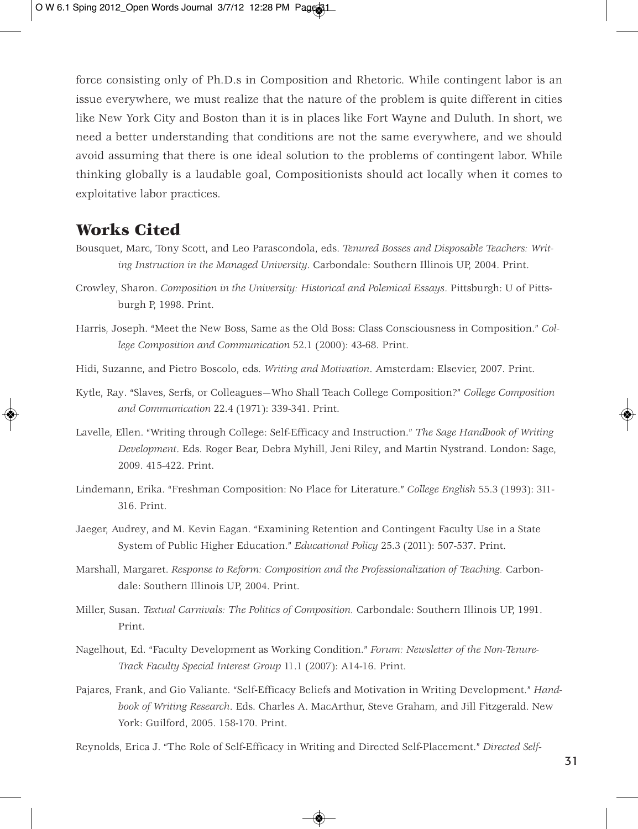force consisting only of Ph.D.s in Composition and Rhetoric. While contingent labor is an issue everywhere, we must realize that the nature of the problem is quite different in cities like New York City and Boston than it is in places like Fort Wayne and Duluth. In short, we need a better understanding that conditions are not the same everywhere, and we should avoid assuming that there is one ideal solution to the problems of contingent labor. While thinking globally is a laudable goal, Compositionists should act locally when it comes to exploitative labor practices.

### **Works Cited**

- Bousquet, Marc, Tony Scott, and Leo Parascondola, eds. *Tenured Bosses and Disposable Teachers: Writing Instruction in the Managed University*. Carbondale: Southern Illinois UP, 2004. Print.
- Crowley, Sharon. *Composition in the University: Historical and Polemical Essays*. Pittsburgh: U of Pittsburgh P, 1998. Print.
- Harris, Joseph. "Meet the New Boss, Same as the Old Boss: Class Consciousness in Composition." *College Composition and Communication* 52.1 (2000): 43-68. Print.
- Hidi, Suzanne, and Pietro Boscolo, eds. *Writing and Motivation*. Amsterdam: Elsevier, 2007. Print.
- Kytle, Ray. "Slaves, Serfs, or Colleagues—Who Shall Teach College Composition?" *College Composition and Communication* 22.4 (1971): 339-341. Print.
- Lavelle, Ellen. "Writing through College: Self-Efficacy and Instruction." *The Sage Handbook of Writing Development*. Eds. Roger Bear, Debra Myhill, Jeni Riley, and Martin Nystrand. London: Sage, 2009. 415-422. Print.
- Lindemann, Erika. "Freshman Composition: No Place for Literature." *College English* 55.3 (1993): 311- 316. Print.
- Jaeger, Audrey, and M. Kevin Eagan. "Examining Retention and Contingent Faculty Use in a State System of Public Higher Education." *Educational Policy* 25.3 (2011): 507-537. Print.
- Marshall, Margaret. *Response to Reform: Composition and the Professionalization of Teaching.* Carbondale: Southern Illinois UP, 2004. Print.
- Miller, Susan. *Textual Carnivals: The Politics of Composition.* Carbondale: Southern Illinois UP, 1991. Print.
- Nagelhout, Ed. "Faculty Development as Working Condition." *Forum: Newsletter of the Non-Tenure-Track Faculty Special Interest Group* 11.1 (2007): A14-16. Print.
- Pajares, Frank, and Gio Valiante. "Self-Efficacy Beliefs and Motivation in Writing Development." *Handbook of Writing Research*. Eds. Charles A. MacArthur, Steve Graham, and Jill Fitzgerald. New York: Guilford, 2005. 158-170. Print.

Reynolds, Erica J. "The Role of Self-Efficacy in Writing and Directed Self-Placement." *Directed Self-*